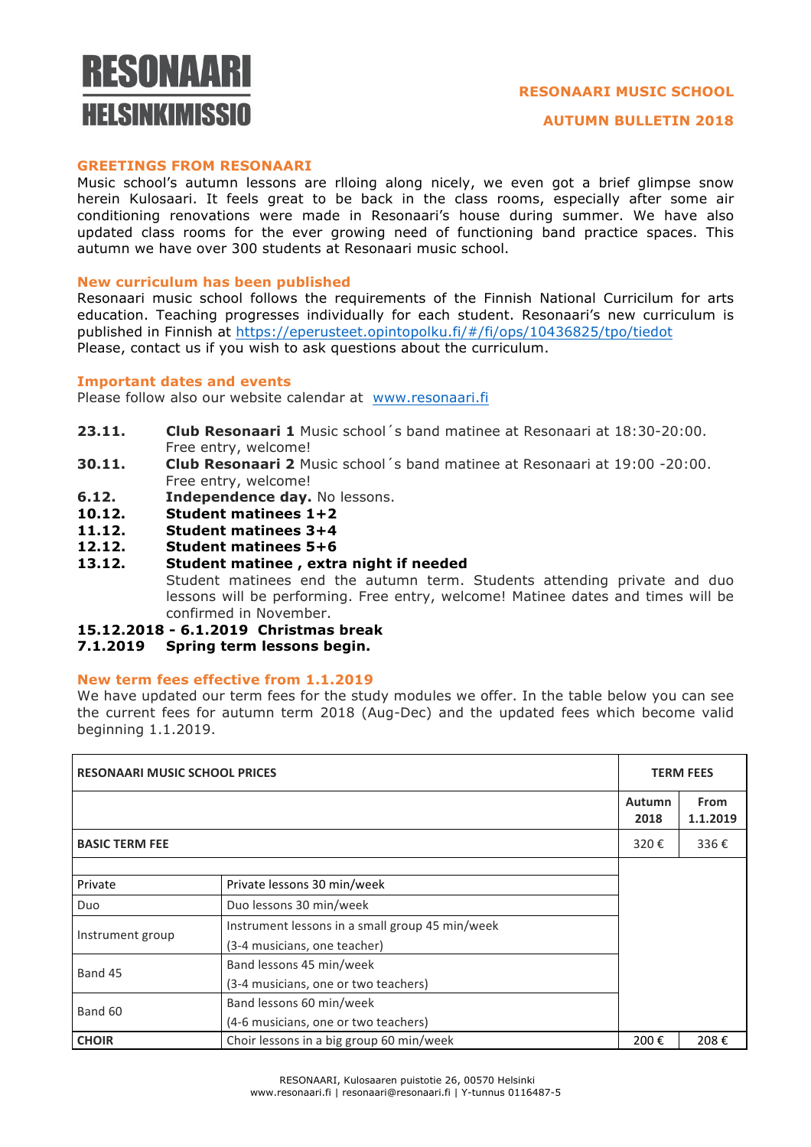# RESONAARI **HEI SINKIMISSIN**

# **RESONAARI MUSIC SCHOOL**

## **GREETINGS FROM RESONAARI**

Music school's autumn lessons are rlloing along nicely, we even got a brief glimpse snow herein Kulosaari. It feels great to be back in the class rooms, especially after some air conditioning renovations were made in Resonaari's house during summer. We have also updated class rooms for the ever growing need of functioning band practice spaces. This autumn we have over 300 students at Resonaari music school.

## **New curriculum has been published**

Resonaari music school follows the requirements of the Finnish National Curricilum for arts education. Teaching progresses individually for each student. Resonaari's new curriculum is published in Finnish at https://eperusteet.opintopolku.fi/#/fi/ops/10436825/tpo/tiedot Please, contact us if you wish to ask questions about the curriculum.

#### **Important dates and events**

Please follow also our website calendar at www.resonaari.fi

- **23.11. Club Resonaari 1** Music school´s band matinee at Resonaari at 18:30-20:00. Free entry, welcome!
- **30.11. Club Resonaari 2** Music school´s band matinee at Resonaari at 19:00 -20:00. Free entry, welcome!
- **6.12. Independence day.** No lessons.
- **10.12. Student matinees 1+2**
- **11.12. Student matinees 3+4**
- **12.12. Student matinees 5+6**
- **13.12. Student matinee , extra night if needed** Student matinees end the autumn term. Students attending private and duo lessons will be performing. Free entry, welcome! Matinee dates and times will be confirmed in November.
- **15.12.2018 - 6.1.2019 Christmas break**
- **7.1.2019 Spring term lessons begin.**

## **New term fees effective from 1.1.2019**

We have updated our term fees for the study modules we offer. In the table below you can see the current fees for autumn term 2018 (Aug-Dec) and the updated fees which become valid beginning 1.1.2019.

| <b>RESONAARI MUSIC SCHOOL PRICES</b> |                                                 |                       | <b>TERM FEES</b>        |  |
|--------------------------------------|-------------------------------------------------|-----------------------|-------------------------|--|
|                                      |                                                 | <b>Autumn</b><br>2018 | <b>From</b><br>1.1.2019 |  |
| <b>BASIC TERM FEE</b>                |                                                 | 320€                  | 336€                    |  |
|                                      |                                                 |                       |                         |  |
| Private                              | Private lessons 30 min/week                     |                       |                         |  |
| Duo                                  | Duo lessons 30 min/week                         |                       |                         |  |
| Instrument group                     | Instrument lessons in a small group 45 min/week |                       |                         |  |
|                                      | (3-4 musicians, one teacher)                    |                       |                         |  |
| Band 45                              | Band lessons 45 min/week                        |                       |                         |  |
|                                      | (3-4 musicians, one or two teachers)            |                       |                         |  |
| Band 60                              | Band lessons 60 min/week                        |                       |                         |  |
|                                      | (4-6 musicians, one or two teachers)            |                       |                         |  |
| <b>CHOIR</b>                         | Choir lessons in a big group 60 min/week        | 200€                  | 208€                    |  |